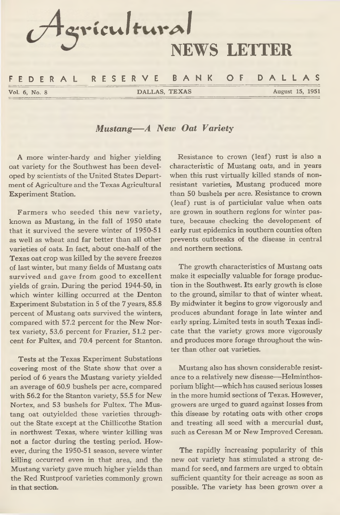

*Mustang— A New Oat Variety*

**A more winter-hardy and higher yielding oat variety for the Southwest has been developed by scientists of the United States Department of Agriculture and the Texas Agricultural Experiment Station.**

**Farmers who seeded this new variety, known as Mustang, in the fall of 1950 state that it survived the severe winter of 1950-51 as well as wheat and far better than all other varieties of oats. In fact, about one-half of the Texas oat crop was killed by the severe freezes of last winter, but many fields of Mustang oats survived and gave from good to excellent yields of grain. During the period 1944-50, in which winter killing occurred at the Denton Experiment Substation in 5 of the 7 years, 85.8 percent of Mustang oats survived the winters, compared with 57.2 percent for the New Nortex variety, 53.6 percent for Frazier, 51.2 percent for Fultex, and 70.4 percent for Stanton.**

**Tests at the Texas Experiment Substations covering most of the State show that over a period of 6 years the Mustang variety yielded an average of 60.9 bushels per acre, compared with 56.2 for the Stanton variety, 55.5 for New Nortex, and 53 bushels for Fultex. The Mustang oat outyielded these varieties throughout the State except at the Chillicothe Station in northwest Texas, where winter killing was not a factor during the testing period. However, during the 1950-51 season, severe winter killing occurred even in that area, and the Mustang variety gave much higher yields than the Red Rustproof varieties commonly grown in that section.**

**Resistance to crown (leaf) rust is also a characteristic of Mustang oats, and in years when this rust virtually killed stands of nonresistant varieties, Mustang produced more than 50 bushels per acre. Resistance to crown (leaf) rust is of particiular value when oats are grown in southern regions for winter pasture, because checking the development of early rust epidemics in southern counties often prevents outbreaks of the disease in central and northern sections.**

**The growth characteristics of Mustang oats make it especially valuable for forage production in the Southwest. Its early growth is close to the ground, similar to that of winter wheat. By midwinter it begins to grow vigorously and produces abundant forage in late winter and early spring. Limited tests in south Texas indicate that the variety grows more vigorously and produces more forage throughout the winter than other oat varieties.**

**Mustang also has shown considerable resistance to a relatively new disease—Helminthosporium blight—which has caused serious losses in the more humid sections of Texas. However, growers are urged to guard against losses from this disease by rotating oats with other crops and treating all seed with a mercurial dust, such as Ceresan M or New Improved Ceresan.**

**The rapidly increasing popularity of this new oat variety has stimulated a strong demand for seed, and farmers are urged to obtain sufficient quantity for their acreage as soon as possible. The variety has been grown over a**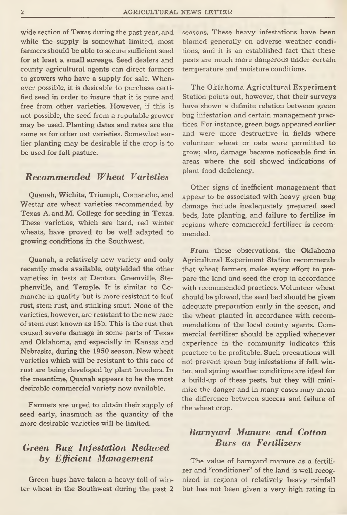**wide section of Texas during the past year, and while the supply is somewhat limited, most farmers should be able to secure sufficient seed for at least a small acreage. Seed dealers and county agricultural agents can direct farmers to growers who have a supply for sale. Whenever possible, it is desirable to purchase certified seed in order to insure that it is pure and free from other varieties. However, if this is not possible, the seed from a reputable grower may be used. Planting dates and rates are the same as for other oat varieties. Somewhat earlier planting may be desirable if the crop is to be used for fall pasture.**

#### *Recommended Wheat Varieties*

**Quanah, Wichita, Triumph, Comanche, and Westar are wheat varieties recommended by Texas A. and M. College for seeding in Texas. These varieties, which are hard, red winter wheats, have proved to be well adapted to growing conditions in the Southwest.**

**Quanah, a relatively new variety and only recently made available, outyielded the other varieties in tests at Denton, Greenville, Stephenville, and Temple. It is similar to Comanche in quality but is more resistant to leaf rust, stem rust, and stinking smut. None of the varieties, however, are resistant to the new race of stem rust known as 15b. This is the rust that caused severe damage in some parts of Texas and Oklahoma, and especially in Kansas and Nebraska, during the 1950 season. New wheat varieties which will be resistant to this race of rust are being developed by plant breeders. In the meantime, Quanah appears to be the most desirable commercial variety now available.**

**Farmers are urged to obtain their supply of seed early, inasmuch as the quantity of the more desirable varieties will be limited.**

# *Green Bug Infestation Reduced by Efficient Management*

**Green bugs have taken a heavy toll of winter wheat in the Southwest during the past 2** **seasons. These heavy infestations have been blamed generally on adverse weather conditions, and it is an established fact that these pests are much more dangerous under certain temperature and moisture conditions.**

**The Oklahoma Agricultural Experiment Station points out, however, that their surveys have shown a definite relation between green bug infestation and certain management practices. For instance, green bugs appeared earlier and were more destructive in fields where volunteer wheat or oats were permitted to grow; also, damage became noticeable first in areas where the soil showed indications of plant food deficiency.**

**Other signs of inefficient management that appear to be associated with heavy green bug damage include inadequately prepared seed beds, late planting, and failure to fertilize in regions where commercial fertilizer is recommended.**

**From these observations, the Oklahoma Agricultural Experiment Station recommends that wheat farmers make every effort to prepare the land and seed the crop in accordance with recommended practices. Volunteer wheat should be plowed, the seed bed should be given adequate preparation early in the season, and the wheat planted in accordance with recommendations of the local county agents. Commercial fertilizer should be applied whenever experience in the community indicates this practice to be profitable. Such precautions will not prevent green bug infestations if fall, winter, and spring weather conditions are ideal for a build-up of these pests, but they will minimize the danger and in many cases may mean the difference between success and failure of the wheat crop.**

### *Barnyard Manure and Cotton Burs as Fertilizers*

**The value of barnyard manure as a fertilizer and "conditioner" of the land is well recognized in regions of relatively heavy rainfall but has not been given a very high rating in**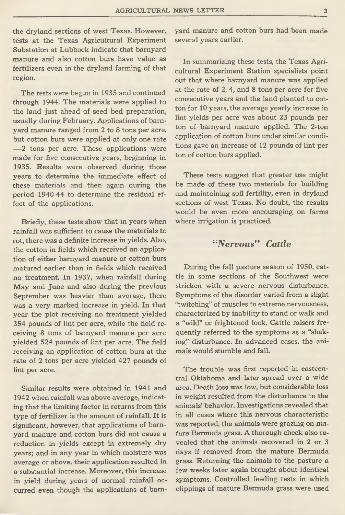**the dryland sections of west Texas. However, tests at the Texas Agricultural Experiment Substation at Lubbock indicate that barnyard manure and also cotton burs have value as fertilizers even in the dryland farming of that region.**

**The tests were begun in 1935 and continued through 1944. The materials were applied to the land just ahead of seed bed preparation, usually during February. Applications of barnyard manure ranged from 2 to 8 tons per acre, but cotton burs were applied at only one rate — 2 tons per acre. These applications were made for five consecutive years, beginning in 1935. Results were observed during those years to determine the immediate effect of these materials and then again during the period 1940-44 to determine the residual effect of the applications.**

**Briefly, these tests show that in years when rainfall was sufficient to cause the materials to rot, there was a definite increase in yields. Also, the cotton in fields which received an application of either barnyard manure or cotton burs matured earlier than in fields which received no treatment. In 1937, when rainfall during May and June and also during the previous September was heavier than average, there was a very marked increase in yield. In that year the plot receiving no treatment yielded 354 pounds of lint per acre, while the field receiving 8 tons of barnyard manure per acre yielded 524 pounds of lint per acre. The field receiving an application of cotton burs at the rate of 2 tons per acre yielded 427 pounds of lint per acre.**

**Similar results were obtained in 1941 and 1942 when rainfall was above average, indicating that the limiting factor in returns from this type of fertilizer is the amount of rainfall. It is significant, however, that applications of barnyard manure and cotton burs did not cause a reduction in yields except in extremely dry years; and in any year in which moisture was average or above, their application resulted in a substantial increase. Moreover, this increase in yield during years of normal rainfall occurred even though the applications of barn-** **yard manure and cotton burs had been made several years earlier.**

**In summarizing these tests, the Texas Agricultural Experiment Station specialists point out that where barnyard manure was applied at the rate of 2, 4, and 8 tons per acre for five consecutive years and the land planted to cotton for 10 years, the average yearly increase in lint yields per acre was about 23 pounds per ton of barnyard manure applied. The 2-ton application of cotton burs under similar conditions gave an increase of 12 pounds of lint per ton of cotton burs applied.**

**These tests suggest that greater use might be made of these two materials for building and maintaining soil fertility, even in dryland sections of west Texas. No doubt, the results would be even more encouraging on farms where irrigation is practiced.**

#### "Nervous" Cattle

**During the fall pasture season of 1950, cattle in some sections of the Southwest were stricken with a severe nervous disturbance. Symptoms of the disorder varied from a slight "twitching" of muscles to extreme nervousness, characterized by inability to stand or walk and a "wild" or frightened look. Cattle raisers frequently referred to the symptoms as a "shaking" disturbance. In advanced cases, the animals would stumble and fall.**

**The trouble was first reported in eastcentral Oklahoma and later spread over a wide area. Death loss was low, but considerable loss in weight resulted from the disturbance to the animals' behavior. Investigations revealed that in all cases where this nervous characteristic was reported, the animals were grazing on** *mature* **Bermuda grass. A thorough check also revealed that the animals recovered in 2 or 3 days if removed from the mature Bermuda grass. Returning the animals to the pasture a few weeks later again brought about identical symptoms. Controlled feeding tests in which clippings of mature Bermuda grass were used**